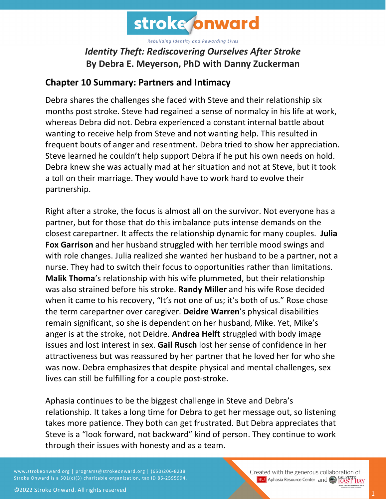

## *Identity Theft: Rediscovering Ourselves After Stroke* **By Debra E. Meyerson, PhD with Danny Zuckerman**

## **Chapter 10 Summary: Partners and Intimacy**

Debra shares the challenges she faced with Steve and their relationship six months post stroke. Steve had regained a sense of normalcy in his life at work, whereas Debra did not. Debra experienced a constant internal battle about wanting to receive help from Steve and not wanting help. This resulted in frequent bouts of anger and resentment. Debra tried to show her appreciation. Steve learned he couldn't help support Debra if he put his own needs on hold. Debra knew she was actually mad at her situation and not at Steve, but it took a toll on their marriage. They would have to work hard to evolve their partnership.

Right after a stroke, the focus is almost all on the survivor. Not everyone has a partner, but for those that do this imbalance puts intense demands on the closest carepartner. It affects the relationship dynamic for many couples. **Julia Fox Garrison** and her husband struggled with her terrible mood swings and with role changes. Julia realized she wanted her husband to be a partner, not a nurse. They had to switch their focus to opportunities rather than limitations. **Malik Thoma**'s relationship with his wife plummeted, but their relationship was also strained before his stroke. **Randy Miller** and his wife Rose decided when it came to his recovery, "It's not one of us; it's both of us." Rose chose the term carepartner over caregiver. **Deidre Warren**'s physical disabilities remain significant, so she is dependent on her husband, Mike. Yet, Mike's anger is at the stroke, not Deidre. **Andrea Helft** struggled with body image issues and lost interest in sex. **Gail Rusch** lost her sense of confidence in her attractiveness but was reassured by her partner that he loved her for who she was now. Debra emphasizes that despite physical and mental challenges, sex lives can still be fulfilling for <sup>a</sup> couple post-stroke.

Aphasia continues to be the biggest challenge in Steve and Debra's relationship. It takes a long time for Debra to get her message out, so listening takes more patience. They both can get frustrated. But Debra appreciates that Steve is a "look forward, not backward" kind of person. They continue to work through their issues with honesty and as a team.

www.strokeonward.org | programs@strokeonward.org | (650)206-8238 Stroke Onward is a 501(c)(3) charitable organization, tax ID 86-2595994. Created with the generous collaboration of **BU** Aphasia Resource Center and **COL STATE BAY**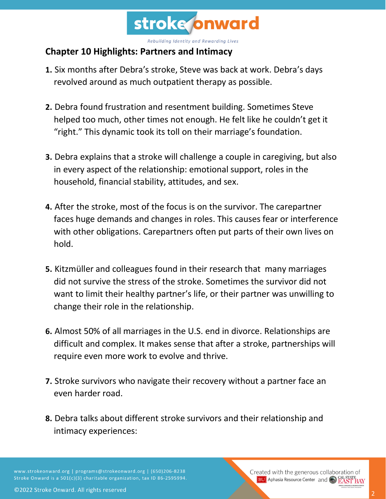

## **Chapter 10 Highlights: Partners and Intimacy**

- **1.** Six months after Debra's stroke, Steve was back at work. Debra's days revolved around as much outpatient therapy as possible.
- **2.** Debra found frustration and resentment building. Sometimes Steve helped too much, other times not enough. He felt like he couldn't get it "right." This dynamic took its toll on their marriage's foundation.
- **3.** Debra explains that a stroke will challenge a couple in caregiving, but also in every aspect of the relationship: emotional support, roles in the household, financial stability, attitudes, and sex.
- **4.** After the stroke, most of the focus is on the survivor. The carepartner faces huge demands and changes in roles. This causes fear or interference with other obligations. Carepartners often put parts of their own lives on hold.
- **5.** Kitzmüller and colleagues found in their research that many marriages did not survive the stress of the stroke. Sometimes the survivor did not want to limit their healthy partner's life, or their partner was unwilling to change their role in the relationship.
- **6.** Almost 50% of all marriages in the U.S. end in divorce. Relationships are difficult and complex. It makes sense that after a stroke, partnerships will require even more work to evolve and thrive.
- **7.** Stroke survivors who navigate their recovery without a partner face an even harder road.
- **8.** Debra talks about different stroke survivors and their relationship and intimacy experiences:

www.strokeonward.org | programs@strokeonward.org | (650)206-8238 Stroke Onward is a 501(c)(3) charitable organization, tax ID 86-2595994. Created with the generous collaboration of **BU** Aphasia Resource Center and **COL STATE**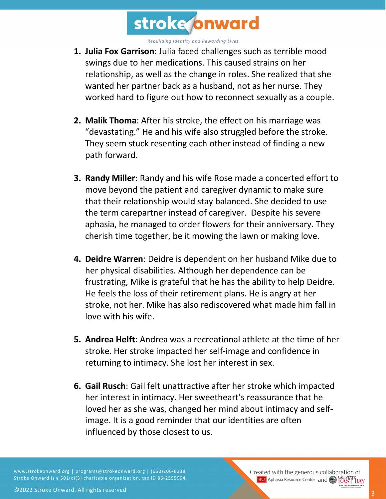

- **1. Julia Fox Garrison**: Julia faced challenges such as terrible mood swings due to her medications. This caused strains on her relationship, as well as the change in roles. She realized that she wanted her partner back as a husband, not as her nurse. They worked hard to figure out how to reconnect sexually as a couple.
- **2. Malik Thoma**: After his stroke, the effect on his marriage was "devastating." He and his wife also struggled before the stroke. They seem stuck resenting each other instead of finding a new path forward.
- **3. Randy Miller**: Randy and his wife Rose made a concerted effort to move beyond the patient and caregiver dynamic to make sure that their relationship would stay balanced. She decided to use the term carepartner instead of caregiver. Despite his severe aphasia, he managed to order flowers for their anniversary. They cherish time together, be it mowing the lawn or making love.
- **4. Deidre Warren**: Deidre is dependent on her husband Mike due to her physical disabilities. Although her dependence can be frustrating, Mike is grateful that he has the ability to help Deidre. He feels the loss of their retirement plans. He is angry at her stroke, not her. Mike has also rediscovered what made him fall in love with his wife.
- **5. Andrea Helft**: Andrea was a recreational athlete at the time of her stroke. Her stroke impacted her self-image and confidence in returning to intimacy. She lost her interest in sex.
- **6. Gail Rusch**: Gail felt unattractive after her stroke which impacted her interest in intimacy. Her sweetheart's reassurance that he loved her as she was, changed her mind about intimacy and selfimage. It is a good reminder that our identities are often influenced by those closest to us.

www.strokeonward.org | programs@strokeonward.org | (650)206-8238 Stroke Onward is a 501(c)(3) charitable organization, tax ID 86-2595994.

Created with the generous collaboration of **BU** Aphasia Resource Center and CO **EAST BAY**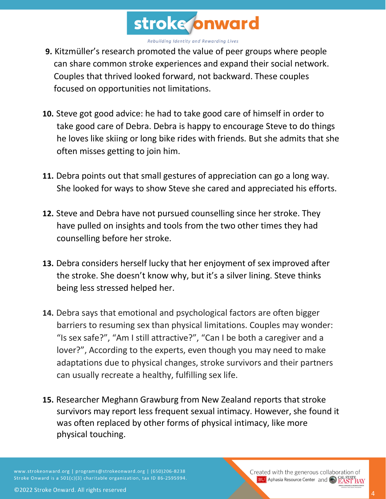

- **9.** Kitzmüller's research promoted the value of peer groups where people can share common stroke experiences and expand their social network. Couples that thrived looked forward, not backward. These couples focused on opportunities not limitations.
- **10.** Steve got good advice: he had to take good care of himself in order to take good care of Debra. Debra is happy to encourage Steve to do things he loves like skiing or long bike rides with friends. But she admits that she often misses getting to join him.
- **11.** Debra points out that small gestures of appreciation can go a long way. She looked for ways to show Steve she cared and appreciated his efforts.
- **12.** Steve and Debra have not pursued counselling since her stroke. They have pulled on insights and tools from the two other times they had counselling before her stroke.
- **13.** Debra considers herself lucky that her enjoyment of sex improved after the stroke. She doesn't know why, but it's a silver lining. Steve thinks being less stressed helped her.
- **14.** Debra says that emotional and psychological factors are often bigger barriers to resuming sex than physical limitations. Couples may wonder: "Is sex safe?", "Am I still attractive?", "Can I be both a caregiver and a lover?", According to the experts, even though you may need to make adaptations due to physical changes, stroke survivors and their partners can usually recreate a healthy, fulfilling sex life.
- **15.** Researcher Meghann Grawburg from New Zealand reports that stroke survivors may report less frequent sexual intimacy. However, she found it was often replaced by other forms of physical intimacy, like more physical touching.

www.strokeonward.org | programs@strokeonward.org | (650)206-8238 Stroke Onward is a 501(c)(3) charitable organization, tax ID 86-2595994.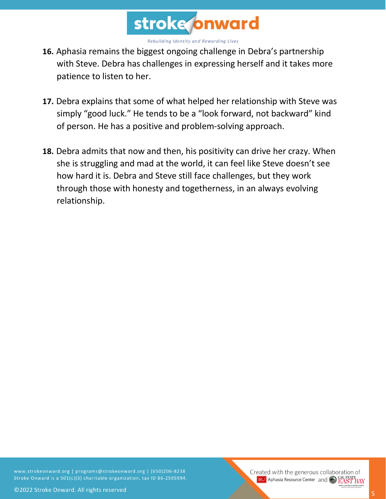

- **16.** Aphasia remains the biggest ongoing challenge in Debra's partnership with Steve. Debra has challenges in expressing herself and it takes more patience to listen to her.
- **17.** Debra explains that some of what helped her relationship with Steve was simply "good luck." He tends to be a "look forward, not backward" kind of person. He has a positive and problem-solving approach.
- **18.** Debra admits that now and then, his positivity can drive her crazy. When she is struggling and mad at the world, it can feel like Steve doesn't see how hard it is. Debra and Steve still face challenges, but they work through those with honesty and togetherness, in an always evolving relationship.

www.strokeonward.org | programs@strokeonward.org | (650)206-8238 Stroke Onward is a 501(c)(3) charitable organization, tax ID 86-2595994.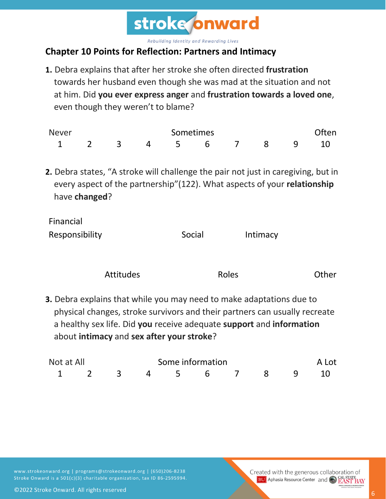

## **Chapter 10 Points for Reflection: Partners and Intimacy**

**1.** Debra explains that after her stroke she often directed **frustration** towards her husband even though she was mad at the situation and not at him. Did **you ever express anger** and **frustration towards a loved one**, even though they weren't to blame?

| <b>Never</b> | Sometimes |     |                |  |           |  | <b>Often</b> |  |  |
|--------------|-----------|-----|----------------|--|-----------|--|--------------|--|--|
|              |           | 2 3 | $\overline{4}$ |  | 5 6 7 8 9 |  |              |  |  |

**2.** Debra states, "A stroke will challenge the pair not just in caregiving, but in every aspect of the partnership"(122). What aspects of your **relationship** have **changed**?

| Financial      |        |          |
|----------------|--------|----------|
| Responsibility | Social | Intimacy |

| <b>Attitudes</b> | Roles | Other |
|------------------|-------|-------|
|                  |       |       |

**3.** Debra explains that while you may need to make adaptations due to physical changes, stroke survivors and their partners can usually recreate a healthy sex life. Did **you** receive adequate **support** and **information** about **intimacy** and **sex after your stroke**?

| Not at All |  |  | Some information     |  |  |  | A Lot |  |  |
|------------|--|--|----------------------|--|--|--|-------|--|--|
|            |  |  | 1 2 3 4 5 6 7 8 9 10 |  |  |  |       |  |  |

www.strokeonward.org | programs@strokeonward.org | (650)206-8238 Stroke Onward is a 501(c)(3) charitable organization, tax ID 86-2595994.